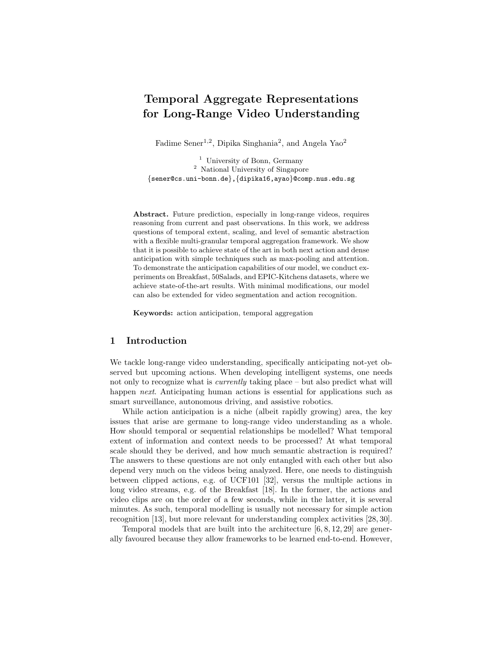# Temporal Aggregate Representations for Long-Range Video Understanding

Fadime Sener<sup>1,2</sup>, Dipika Singhania<sup>2</sup>, and Angela Yao<sup>2</sup>

<sup>1</sup> University of Bonn, Germany <sup>2</sup> National University of Singapore {sener@cs.uni-bonn.de},{dipika16,ayao}@comp.nus.edu.sg

Abstract. Future prediction, especially in long-range videos, requires reasoning from current and past observations. In this work, we address questions of temporal extent, scaling, and level of semantic abstraction with a flexible multi-granular temporal aggregation framework. We show that it is possible to achieve state of the art in both next action and dense anticipation with simple techniques such as max-pooling and attention. To demonstrate the anticipation capabilities of our model, we conduct experiments on Breakfast, 50Salads, and EPIC-Kitchens datasets, where we achieve state-of-the-art results. With minimal modifications, our model can also be extended for video segmentation and action recognition.

Keywords: action anticipation, temporal aggregation

# 1 Introduction

We tackle long-range video understanding, specifically anticipating not-yet observed but upcoming actions. When developing intelligent systems, one needs not only to recognize what is *currently* taking place – but also predict what will happen *next*. Anticipating human actions is essential for applications such as smart surveillance, autonomous driving, and assistive robotics.

While action anticipation is a niche (albeit rapidly growing) area, the key issues that arise are germane to long-range video understanding as a whole. How should temporal or sequential relationships be modelled? What temporal extent of information and context needs to be processed? At what temporal scale should they be derived, and how much semantic abstraction is required? The answers to these questions are not only entangled with each other but also depend very much on the videos being analyzed. Here, one needs to distinguish between clipped actions, e.g. of UCF101 [32], versus the multiple actions in long video streams, e.g. of the Breakfast [18]. In the former, the actions and video clips are on the order of a few seconds, while in the latter, it is several minutes. As such, temporal modelling is usually not necessary for simple action recognition [13], but more relevant for understanding complex activities [28, 30].

Temporal models that are built into the architecture [6, 8, 12, 29] are generally favoured because they allow frameworks to be learned end-to-end. However,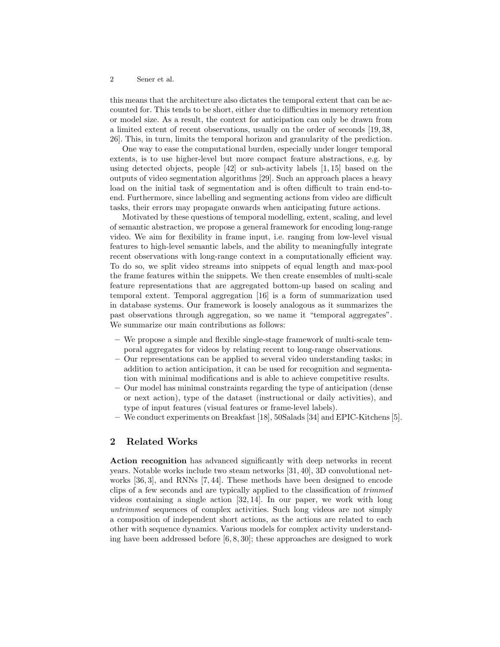this means that the architecture also dictates the temporal extent that can be accounted for. This tends to be short, either due to difficulties in memory retention or model size. As a result, the context for anticipation can only be drawn from a limited extent of recent observations, usually on the order of seconds [19, 38, 26]. This, in turn, limits the temporal horizon and granularity of the prediction.

One way to ease the computational burden, especially under longer temporal extents, is to use higher-level but more compact feature abstractions, e.g. by using detected objects, people [42] or sub-activity labels [1, 15] based on the outputs of video segmentation algorithms [29]. Such an approach places a heavy load on the initial task of segmentation and is often difficult to train end-toend. Furthermore, since labelling and segmenting actions from video are difficult tasks, their errors may propagate onwards when anticipating future actions.

Motivated by these questions of temporal modelling, extent, scaling, and level of semantic abstraction, we propose a general framework for encoding long-range video. We aim for flexibility in frame input, i.e. ranging from low-level visual features to high-level semantic labels, and the ability to meaningfully integrate recent observations with long-range context in a computationally efficient way. To do so, we split video streams into snippets of equal length and max-pool the frame features within the snippets. We then create ensembles of multi-scale feature representations that are aggregated bottom-up based on scaling and temporal extent. Temporal aggregation [16] is a form of summarization used in database systems. Our framework is loosely analogous as it summarizes the past observations through aggregation, so we name it "temporal aggregates". We summarize our main contributions as follows:

- We propose a simple and flexible single-stage framework of multi-scale temporal aggregates for videos by relating recent to long-range observations.
- Our representations can be applied to several video understanding tasks; in addition to action anticipation, it can be used for recognition and segmentation with minimal modifications and is able to achieve competitive results.
- Our model has minimal constraints regarding the type of anticipation (dense or next action), type of the dataset (instructional or daily activities), and type of input features (visual features or frame-level labels).
- We conduct experiments on Breakfast [18], 50Salads [34] and EPIC-Kitchens [5].

# 2 Related Works

Action recognition has advanced significantly with deep networks in recent years. Notable works include two steam networks [31, 40], 3D convolutional networks [36, 3], and RNNs [7, 44]. These methods have been designed to encode clips of a few seconds and are typically applied to the classification of trimmed videos containing a single action [32, 14]. In our paper, we work with long untrimmed sequences of complex activities. Such long videos are not simply a composition of independent short actions, as the actions are related to each other with sequence dynamics. Various models for complex activity understanding have been addressed before  $[6, 8, 30]$ ; these approaches are designed to work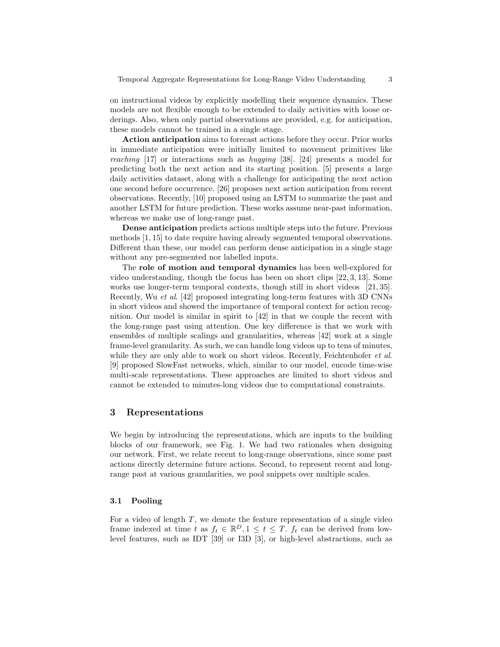on instructional videos by explicitly modelling their sequence dynamics. These models are not flexible enough to be extended to daily activities with loose orderings. Also, when only partial observations are provided, e.g. for anticipation, these models cannot be trained in a single stage.

Action anticipation aims to forecast actions before they occur. Prior works in immediate anticipation were initially limited to movement primitives like reaching [17] or interactions such as hugging [38]. [24] presents a model for predicting both the next action and its starting position. [5] presents a large daily activities dataset, along with a challenge for anticipating the next action one second before occurrence. [26] proposes next action anticipation from recent observations. Recently, [10] proposed using an LSTM to summarize the past and another LSTM for future prediction. These works assume near-past information, whereas we make use of long-range past.

Dense anticipation predicts actions multiple steps into the future. Previous methods [1, 15] to date require having already segmented temporal observations. Different than these, our model can perform dense anticipation in a single stage without any pre-segmented nor labelled inputs.

The role of motion and temporal dynamics has been well-explored for video understanding, though the focus has been on short clips [22, 3, 13]. Some works use longer-term temporal contexts, though still in short videos [21, 35]. Recently, Wu et al. [42] proposed integrating long-term features with 3D CNNs in short videos and showed the importance of temporal context for action recognition. Our model is similar in spirit to [42] in that we couple the recent with the long-range past using attention. One key difference is that we work with ensembles of multiple scalings and granularities, whereas [42] work at a single frame-level granularity. As such, we can handle long videos up to tens of minutes, while they are only able to work on short videos. Recently, Feichtenhofer *et al.* [9] proposed SlowFast networks, which, similar to our model, encode time-wise multi-scale representations. These approaches are limited to short videos and cannot be extended to minutes-long videos due to computational constraints.

# 3 Representations

We begin by introducing the representations, which are inputs to the building blocks of our framework, see Fig. 1. We had two rationales when designing our network. First, we relate recent to long-range observations, since some past actions directly determine future actions. Second, to represent recent and longrange past at various granularities, we pool snippets over multiple scales.

#### 3.1 Pooling

For a video of length  $T$ , we denote the feature representation of a single video frame indexed at time t as  $f_t \in \mathbb{R}^D, 1 \leq t \leq T$ .  $f_t$  can be derived from lowlevel features, such as IDT [39] or I3D [3], or high-level abstractions, such as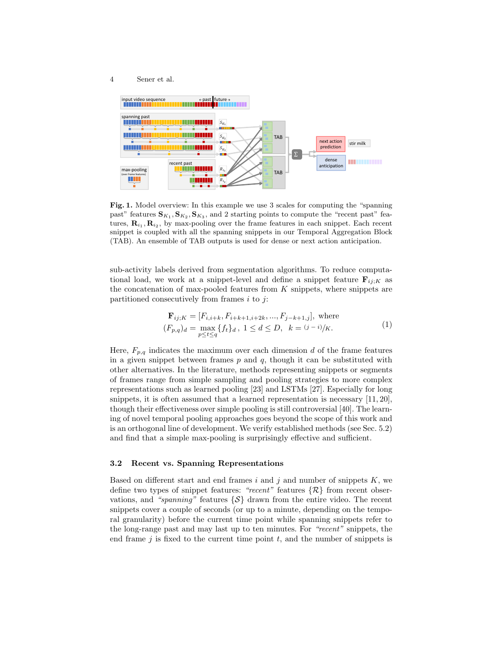



Fig. 1. Model overview: In this example we use 3 scales for computing the "spanning past" features  ${\bf S}_{K_1}, {\bf S}_{K_2}, {\bf S}_{K_3}$ , and 2 starting points to compute the "recent past" features,  $\mathbf{R}_{i_1}, \mathbf{R}_{i_2}$ , by max-pooling over the frame features in each snippet. Each recent snippet is coupled with all the spanning snippets in our Temporal Aggregation Block (TAB). An ensemble of TAB outputs is used for dense or next action anticipation.

sub-activity labels derived from segmentation algorithms. To reduce computational load, we work at a snippet-level and define a snippet feature  $\mathbf{F}_{ii,K}$  as the concatenation of max-pooled features from  $K$  snippets, where snippets are partitioned consecutively from frames  $i$  to  $j$ :

$$
\mathbf{F}_{ij;K} = [F_{i,i+k}, F_{i+k+1,i+2k}, \dots, F_{j-k+1,j}], \text{ where}
$$
\n
$$
(F_{p,q})_d = \max_{p \le t \le q} \{ f_t \}_d, \ 1 \le d \le D, \ k = (j-i)/K.
$$
\n(1)

Here,  $F_{p,q}$  indicates the maximum over each dimension d of the frame features in a given snippet between frames  $p$  and  $q$ , though it can be substituted with other alternatives. In the literature, methods representing snippets or segments of frames range from simple sampling and pooling strategies to more complex representations such as learned pooling [23] and LSTMs [27]. Especially for long snippets, it is often assumed that a learned representation is necessary [11, 20], though their effectiveness over simple pooling is still controversial [40]. The learning of novel temporal pooling approaches goes beyond the scope of this work and is an orthogonal line of development. We verify established methods (see Sec. 5.2) and find that a simple max-pooling is surprisingly effective and sufficient.

### 3.2 Recent vs. Spanning Representations

Based on different start and end frames  $i$  and  $j$  and number of snippets  $K$ , we define two types of snippet features: "recent" features  $\{\mathcal{R}\}\$  from recent observations, and "spanning" features  $\{S\}$  drawn from the entire video. The recent snippets cover a couple of seconds (or up to a minute, depending on the temporal granularity) before the current time point while spanning snippets refer to the long-range past and may last up to ten minutes. For "recent" snippets, the end frame  $i$  is fixed to the current time point  $t$ , and the number of snippets is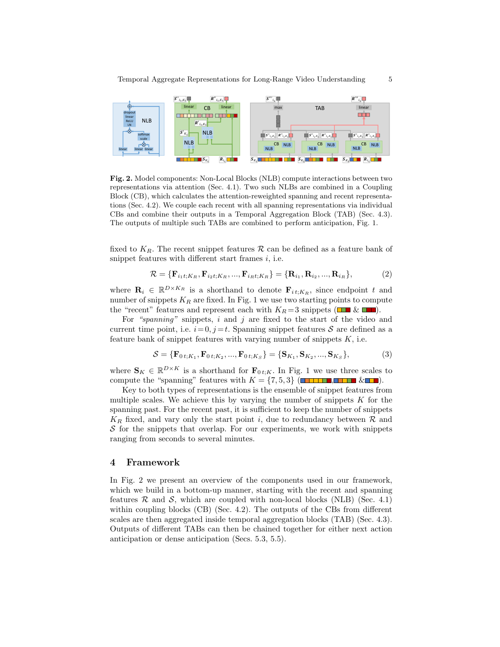

Fig. 2. Model components: Non-Local Blocks (NLB) compute interactions between two representations via attention (Sec. 4.1). Two such NLBs are combined in a Coupling Block (CB), which calculates the attention-reweighted spanning and recent representations (Sec. 4.2). We couple each recent with all spanning representations via individual CBs and combine their outputs in a Temporal Aggregation Block (TAB) (Sec. 4.3). The outputs of multiple such TABs are combined to perform anticipation, Fig. 1.

fixed to  $K_R$ . The recent snippet features R can be defined as a feature bank of snippet features with different start frames  $i$ , i.e.

$$
\mathcal{R} = \{ \mathbf{F}_{i_1 t; K_R}, \mathbf{F}_{i_2 t; K_R}, ..., \mathbf{F}_{i_R t; K_R} \} = \{ \mathbf{R}_{i_1}, \mathbf{R}_{i_2}, ..., \mathbf{R}_{i_R} \},
$$
(2)

where  $\mathbf{R}_i \in \mathbb{R}^{D \times K_R}$  is a shorthand to denote  $\mathbf{F}_{i,t;K_R}$ , since endpoint t and number of snippets  $K_R$  are fixed. In Fig. 1 we use two starting points to compute the "recent" features and represent each with  $K_R = 3$  snippets ( $\Box \Box \& \Box \Box$ ).

For "spanning" snippets,  $i$  and  $j$  are fixed to the start of the video and current time point, i.e.  $i=0, j=t$ . Spanning snippet features S are defined as a feature bank of snippet features with varying number of snippets  $K$ , i.e.

$$
S = {\mathbf{F}_{0t;K_1}, \mathbf{F}_{0t;K_2}, ..., \mathbf{F}_{0t;K_S}} = {\mathbf{S}_{K_1}, \mathbf{S}_{K_2}, ..., \mathbf{S}_{K_S}},
$$
(3)

where  $\mathbf{S}_K \in \mathbb{R}^{D \times K}$  is a shorthand for  $\mathbf{F}_{0,t,K}$ . In Fig. 1 we use three scales to compute the "spanning" features with  $K = \{7, 5, 3\}$  (**THEFE**, **HEFE** & **IP**).

Key to both types of representations is the ensemble of snippet features from multiple scales. We achieve this by varying the number of snippets  $K$  for the spanning past. For the recent past, it is sufficient to keep the number of snippets  $K_R$  fixed, and vary only the start point i, due to redundancy between  $R$  and  $S$  for the snippets that overlap. For our experiments, we work with snippets ranging from seconds to several minutes.

# 4 Framework

In Fig. 2 we present an overview of the components used in our framework, which we build in a bottom-up manner, starting with the recent and spanning features  $\mathcal R$  and  $\mathcal S$ , which are coupled with non-local blocks (NLB) (Sec. 4.1) within coupling blocks  $(CB)$  (Sec. 4.2). The outputs of the CBs from different scales are then aggregated inside temporal aggregation blocks (TAB) (Sec. 4.3). Outputs of different TABs can then be chained together for either next action anticipation or dense anticipation (Secs. 5.3, 5.5).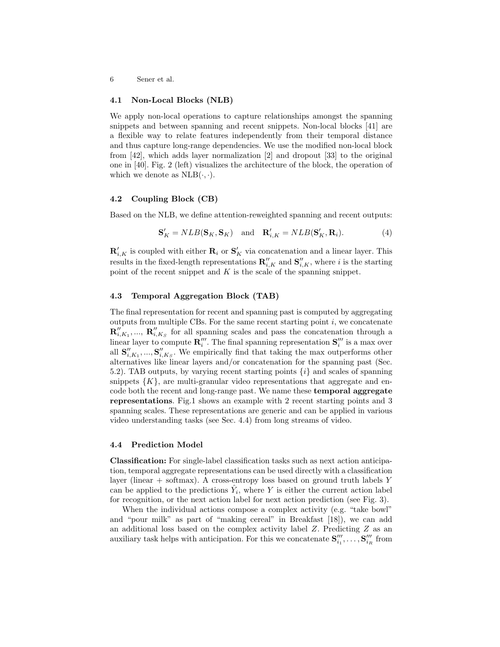#### 4.1 Non-Local Blocks (NLB)

We apply non-local operations to capture relationships amongst the spanning snippets and between spanning and recent snippets. Non-local blocks [41] are a flexible way to relate features independently from their temporal distance and thus capture long-range dependencies. We use the modified non-local block from [42], which adds layer normalization [2] and dropout [33] to the original one in [40]. Fig. 2 (left) visualizes the architecture of the block, the operation of which we denote as  $NLB(\cdot, \cdot)$ .

# 4.2 Coupling Block (CB)

Based on the NLB, we define attention-reweighted spanning and recent outputs:

$$
\mathbf{S}'_K = NLB(\mathbf{S}_K, \mathbf{S}_K) \quad \text{and} \quad \mathbf{R}'_{i,K} = NLB(\mathbf{S}'_K, \mathbf{R}_i). \tag{4}
$$

 $\mathbf{R}'_{i,K}$  is coupled with either  $\mathbf{R}_i$  or  $\mathbf{S}'_K$  via concatenation and a linear layer. This results in the fixed-length representations  $\mathbf{R}''_{i,K}$  and  $\mathbf{S}''_{i,K}$ , where i is the starting point of the recent snippet and  $K$  is the scale of the spanning snippet.

### 4.3 Temporal Aggregation Block (TAB)

The final representation for recent and spanning past is computed by aggregating outputs from multiple CBs. For the same recent starting point  $i$ , we concatenate  ${\bf R}''_{i,K_1},...,{\bf R}''_{i,K_S}$  for all spanning scales and pass the concatenation through a linear layer to compute  $\mathbf{R}''''$ . The final spanning representation  $\mathbf{S}'''_i$  is a max over all  $\mathbf{S}''_{i,K_1},...,\mathbf{S}''_{i,K_S}$ . We empirically find that taking the max outperforms other alternatives like linear layers and/or concatenation for the spanning past (Sec. 5.2). TAB outputs, by varying recent starting points  $\{i\}$  and scales of spanning snippets  $\{K\}$ , are multi-granular video representations that aggregate and encode both the recent and long-range past. We name these temporal aggregate representations. Fig.1 shows an example with 2 recent starting points and 3 spanning scales. These representations are generic and can be applied in various video understanding tasks (see Sec. 4.4) from long streams of video.

### 4.4 Prediction Model

Classification: For single-label classification tasks such as next action anticipation, temporal aggregate representations can be used directly with a classification layer (linear  $+$  softmax). A cross-entropy loss based on ground truth labels Y can be applied to the predictions  $\hat{Y}_i$ , where Y is either the current action label for recognition, or the next action label for next action prediction (see Fig. 3).

When the individual actions compose a complex activity (e.g. "take bowl" and "pour milk" as part of "making cereal" in Breakfast [18]), we can add an additional loss based on the complex activity label Z. Predicting Z as an auxiliary task helps with anticipation. For this we concatenate  $S''_{i_1}, \ldots, S''_{i_R}$  from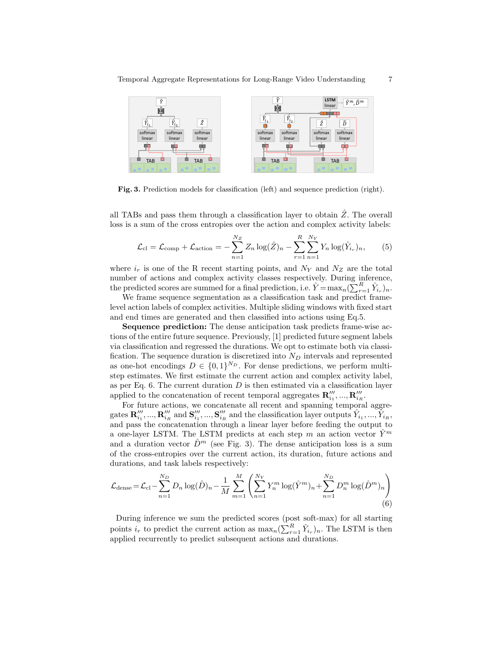

Fig. 3. Prediction models for classification (left) and sequence prediction (right).

all TABs and pass them through a classification layer to obtain  $\hat{Z}$ . The overall loss is a sum of the cross entropies over the action and complex activity labels:

$$
\mathcal{L}_{\text{cl}} = \mathcal{L}_{\text{comp}} + \mathcal{L}_{\text{action}} = -\sum_{n=1}^{N_Z} Z_n \log(\hat{Z})_n - \sum_{r=1}^{R} \sum_{n=1}^{N_Y} Y_n \log(\hat{Y}_{i_r})_n, \qquad (5)
$$

where  $i_r$  is one of the R recent starting points, and  $N_Y$  and  $N_Z$  are the total number of actions and complex activity classes respectively. During inference, the predicted scores are summed for a final prediction, i.e.  $\hat{Y} = \max_n (\sum_{r=1}^R \hat{Y}_{i_r})_n$ .

We frame sequence segmentation as a classification task and predict framelevel action labels of complex activities. Multiple sliding windows with fixed start and end times are generated and then classified into actions using Eq.5.

Sequence prediction: The dense anticipation task predicts frame-wise actions of the entire future sequence. Previously, [1] predicted future segment labels via classification and regressed the durations. We opt to estimate both via classification. The sequence duration is discretized into  $N_D$  intervals and represented as one-hot encodings  $D \in \{0,1\}^{N_D}$ . For dense predictions, we perform multistep estimates. We first estimate the current action and complex activity label, as per Eq. 6. The current duration  $D$  is then estimated via a classification layer applied to the concatenation of recent temporal aggregates  $\mathbf{R}'''_{i_1},...,\mathbf{R}'''_{i_R}$ .

For future actions, we concatenate all recent and spanning temporal aggregates  $\mathbf{R}''_{i_1}, ..., \mathbf{R}'''_{i_R}$  and  $\mathbf{S}'''_{i_1}, ..., \mathbf{S}'''_{i_R}$  and the classification layer outputs  $\hat{Y}_{i_1}, ..., \hat{Y}_{i_R}$ , and pass the concatenation through a linear layer before feeding the output to a one-layer LSTM. The LSTM predicts at each step m an action vector  $\tilde{Y}^m$ and a duration vector  $\hat{D}^m$  (see Fig. 3). The dense anticipation loss is a sum of the cross-entropies over the current action, its duration, future actions and durations, and task labels respectively:

$$
\mathcal{L}_{\text{dense}} = \mathcal{L}_{\text{cl}} - \sum_{n=1}^{N_D} D_n \log(\hat{D})_n - \frac{1}{M} \sum_{m=1}^{M} \left( \sum_{n=1}^{N_Y} Y_n^m \log(\hat{Y}^m)_n + \sum_{n=1}^{N_D} D_n^m \log(\hat{D}^m)_n \right)
$$
(6)

During inference we sum the predicted scores (post soft-max) for all starting points  $i_r$  to predict the current action as  $\max_n(\sum_{r=1}^R \hat{Y}_{i_r})_n$ . The LSTM is then applied recurrently to predict subsequent actions and durations.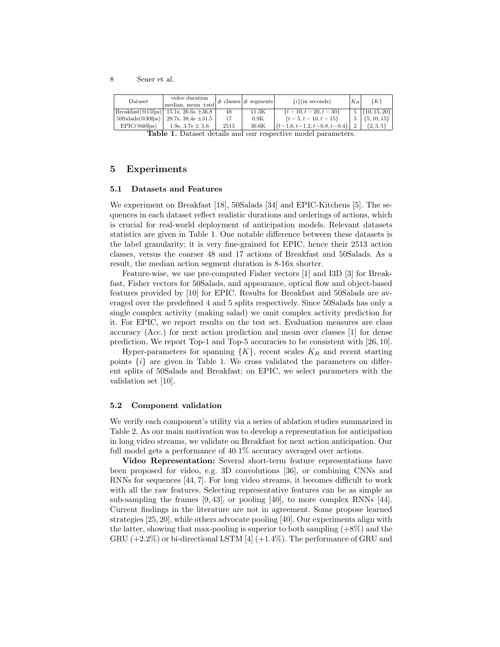| Dataset                    | video duration<br>median, mean $\pm$ std                           |      | $\left \# \text{ classes}\right \# \text{ segments}\right $ | $\{i\}$ (in seconds)               | $K_R$ | $\{K\}$                           |
|----------------------------|--------------------------------------------------------------------|------|-------------------------------------------------------------|------------------------------------|-------|-----------------------------------|
|                            | $ \text{Breakfast}(\text{@}15\text{fps}) $ 15.1s, 26.6s $\pm 36.8$ | 48   | 11.3K                                                       | $\{t-10, t-20, t-30\}$             |       | $5 \left  \{10, 15, 20\} \right $ |
| $50$ Salads $(@30$ fps $)$ | 29.7s, $38.4s \pm 31.5$                                            |      | 0.9K                                                        | $\{t-5, t-10, t-15\}$              |       | $5 \mid \{5, 10, 15\} \mid$       |
| $EPIC(@60f_{DS})$          | 1.9s, $3.7s \pm 5.6$                                               | 2513 | 36.6K                                                       | $\{t-1.6, t-1.2, t-0.8, t-0.4\}$ 2 |       | $\{2,3,5\}$                       |

Table 1. Dataset details and our respective model parameters.

# 5 Experiments

#### 5.1 Datasets and Features

We experiment on Breakfast [18], 50Salads [34] and EPIC-Kitchens [5]. The sequences in each dataset reflect realistic durations and orderings of actions, which is crucial for real-world deployment of anticipation models. Relevant datasets statistics are given in Table 1. One notable difference between these datasets is the label granularity; it is very fine-grained for EPIC, hence their 2513 action classes, versus the coarser 48 and 17 actions of Breakfast and 50Salads. As a result, the median action segment duration is 8-16x shorter.

Feature-wise, we use pre-computed Fisher vectors [1] and I3D [3] for Breakfast, Fisher vectors for 50Salads, and appearance, optical flow and object-based features provided by [10] for EPIC. Results for Breakfast and 50Salads are averaged over the predefined 4 and 5 splits respectively. Since 50Salads has only a single complex activity (making salad) we omit complex activity prediction for it. For EPIC, we report results on the test set. Evaluation measures are class accuracy (Acc.) for next action prediction and mean over classes [1] for dense prediction. We report Top-1 and Top-5 accuracies to be consistent with [26, 10].

Hyper-parameters for spanning  $\{K\}$ , recent scales  $K_R$  and recent starting points  $\{i\}$  are given in Table 1. We cross validated the parameters on different splits of 50Salads and Breakfast; on EPIC, we select parameters with the validation set [10].

### 5.2 Component validation

We verify each component's utility via a series of ablation studies summarized in Table 2. As our main motivation was to develop a representation for anticipation in long video streams, we validate on Breakfast for next action anticipation. Our full model gets a performance of 40.1% accuracy averaged over actions.

Video Representation: Several short-term feature representations have been proposed for video, e.g. 3D convolutions [36], or combining CNNs and RNNs for sequences [44, 7]. For long video streams, it becomes difficult to work with all the raw features. Selecting representative features can be as simple as sub-sampling the frames [9, 43], or pooling [40], to more complex RNNs [44]. Current findings in the literature are not in agreement. Some propose learned strategies [25, 20], while others advocate pooling [40]. Our experiments align with the latter, showing that max-pooling is superior to both sampling  $(+8\%)$  and the GRU  $(+2.2\%)$  or bi-directional LSTM [4]  $(+1.4\%)$ . The performance of GRU and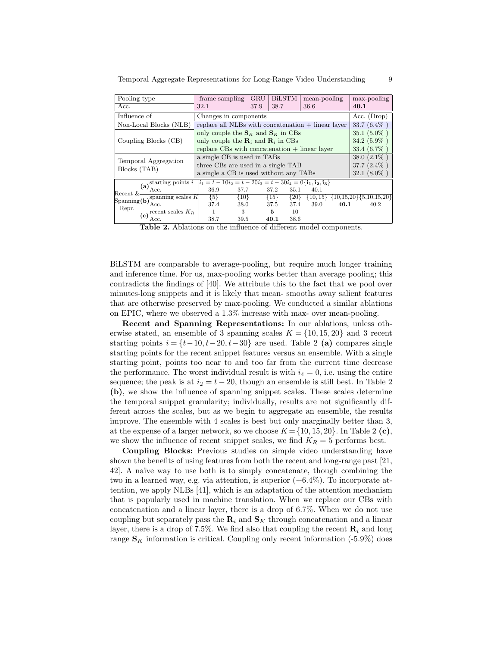| Pooling type                                                                                                                                                                                  | frame sampling                                                                                                          | <b>GRU</b> | <b>BiLSTM</b>     | mean-pooling |      | $max-pooling$                                     |  |  |
|-----------------------------------------------------------------------------------------------------------------------------------------------------------------------------------------------|-------------------------------------------------------------------------------------------------------------------------|------------|-------------------|--------------|------|---------------------------------------------------|--|--|
| Acc.                                                                                                                                                                                          | 32.1                                                                                                                    | 37.9       | 38.7              | 36.6         |      | 40.1                                              |  |  |
| Influence of                                                                                                                                                                                  | Changes in components                                                                                                   |            | Acc. $(Drop)$     |              |      |                                                   |  |  |
| Non-Local Blocks (NLB)                                                                                                                                                                        | replace all NLBs with concatenation $+$ linear layer                                                                    |            |                   |              |      | $33.7(6.4\%)$                                     |  |  |
|                                                                                                                                                                                               | only couple the $S_K$ and $S_K$ in CBs                                                                                  |            |                   |              |      | $35.1(5.0\%)$                                     |  |  |
| Coupling Blocks (CB)                                                                                                                                                                          | only couple the $\mathbf{R}_i$ and $\mathbf{R}_i$ in CBs                                                                |            | $34.2(5.9\%)$     |              |      |                                                   |  |  |
|                                                                                                                                                                                               | replace $CBs$ with concatenation $+$ linear layer                                                                       |            | 33.4 $(6.7\%)$    |              |      |                                                   |  |  |
| Temporal Aggregation                                                                                                                                                                          | a single CB is used in TABs                                                                                             |            | $38.0(2.1\%)$     |              |      |                                                   |  |  |
| Blocks (TAB)                                                                                                                                                                                  | three CBs are used in a single TAB                                                                                      |            | $37.7(2.4\%)$     |              |      |                                                   |  |  |
|                                                                                                                                                                                               | a single a CB is used without any TABs                                                                                  |            | $32.1(8.0\%)$     |              |      |                                                   |  |  |
| (a) starting points $i$                                                                                                                                                                       | $i_1 = t - 10i_2 = t - 20i_3 = t - 30i_4 = 0$ { <b>i</b> <sub>1</sub> , <b>i</b> <sub>2</sub> , <b>i</b> <sub>3</sub> } |            |                   |              |      |                                                   |  |  |
| $Recent & -$                                                                                                                                                                                  | 36.9<br>37.7                                                                                                            |            | 35.1<br>37.2      | 40.1         |      |                                                   |  |  |
| $\begin{tabular}{ l l } \hline \multicolumn{3}{ l }{Spanning (b)} \multicolumn{3}{ l }{spanning scales $K$} \\ \hline \multicolumn{3}{ l }{Repr.} & \multicolumn{3}{ l }{Acc}. \end{tabular}$ | ${5}$<br>${10}$                                                                                                         |            | ${15}$<br>${20}$  |              |      | $\{10, 15\}$ $\{10, 15, 20\}$ $\{5, 10, 15, 20\}$ |  |  |
| Repr.                                                                                                                                                                                         | 37.4<br>38.0                                                                                                            |            | 37.4<br>37.5      | 39.0         | 40.1 | 40.2                                              |  |  |
| $\overline{\textbf{(c)}\text{ recent scales }K_R}$                                                                                                                                            | 3                                                                                                                       |            | $5^{\circ}$<br>10 |              |      |                                                   |  |  |
| Acc.                                                                                                                                                                                          | 38.7<br>39.5                                                                                                            |            | 40.1<br>38.6      |              |      |                                                   |  |  |

Temporal Aggregate Representations for Long-Range Video Understanding 9

Table 2. Ablations on the influence of different model components.

BiLSTM are comparable to average-pooling, but require much longer training and inference time. For us, max-pooling works better than average pooling; this contradicts the findings of [40]. We attribute this to the fact that we pool over minutes-long snippets and it is likely that mean- smooths away salient features that are otherwise preserved by max-pooling. We conducted a similar ablations on EPIC, where we observed a 1.3% increase with max- over mean-pooling.

Recent and Spanning Representations: In our ablations, unless otherwise stated, an ensemble of 3 spanning scales  $K = \{10, 15, 20\}$  and 3 recent starting points  $i = \{t-10, t-20, t-30\}$  are used. Table 2 (a) compares single starting points for the recent snippet features versus an ensemble. With a single starting point, points too near to and too far from the current time decrease the performance. The worst individual result is with  $i_4 = 0$ , i.e. using the entire sequence; the peak is at  $i_2 = t - 20$ , though an ensemble is still best. In Table 2 (b), we show the influence of spanning snippet scales. These scales determine the temporal snippet granularity; individually, results are not significantly different across the scales, but as we begin to aggregate an ensemble, the results improve. The ensemble with 4 scales is best but only marginally better than 3, at the expense of a larger network, so we choose  $K = \{10, 15, 20\}$ . In Table 2 (c), we show the influence of recent snippet scales, we find  $K_R = 5$  performs best.

Coupling Blocks: Previous studies on simple video understanding have shown the benefits of using features from both the recent and long-range past [21, 42. A naïve way to use both is to simply concatenate, though combining the two in a learned way, e.g. via attention, is superior  $(+6.4\%)$ . To incorporate attention, we apply NLBs [41], which is an adaptation of the attention mechanism that is popularly used in machine translation. When we replace our CBs with concatenation and a linear layer, there is a drop of 6.7%. When we do not use coupling but separately pass the  $\mathbf{R}_i$  and  $\mathbf{S}_K$  through concatenation and a linear layer, there is a drop of 7.5%. We find also that coupling the recent  $\mathbf{R}_i$  and long range  $\mathbf{S}_K$  information is critical. Coupling only recent information (-5.9%) does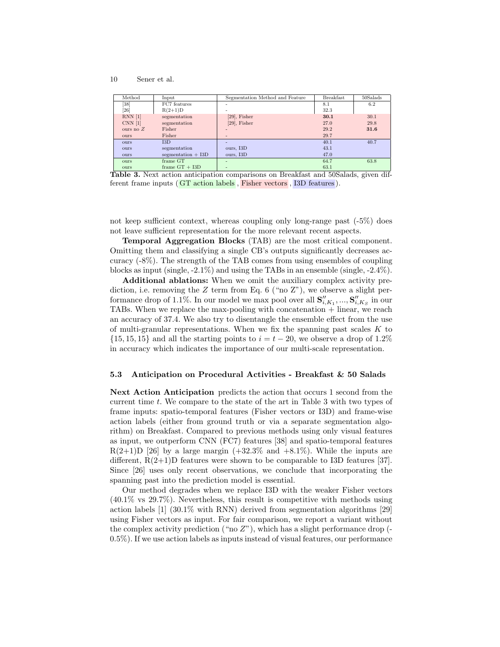| Method             | Input                | Segmentation Method and Feature | <b>Breakfast</b> | $50$ Salads |
|--------------------|----------------------|---------------------------------|------------------|-------------|
| [38]               | FC7 features         |                                 | 8.1              | 6.2         |
| [26]               | $R(2+1)D$            |                                 | 32.3             |             |
| $RNN$ [1]          | segmentation         | $[29]$ , Fisher                 | 30.1             | 30.1        |
| CNN <sub>[1]</sub> | segmentation         | $[29]$ , Fisher                 | 27.0             | 29.8        |
| ours no $Z$        | Fisher               |                                 | 29.2             | 31.6        |
| <b>ours</b>        | Fisher               | -                               | 29.7             |             |
| <b>ours</b>        | 13D                  | -                               | 40.1             | 40.7        |
| <b>ours</b>        | segmentation         | ours, I3D                       | 43.1             |             |
| <b>ours</b>        | segmentation $+$ I3D | ours, I3D                       | 47.0             |             |
| ours               | frame GT             | $\overline{\phantom{0}}$        | 64.7             | 63.8        |
| ours               | frame $GT + I3D$     | ۰                               | 63.1             |             |

Table 3. Next action anticipation comparisons on Breakfast and 50Salads, given different frame inputs ( GT action labels , Fisher vectors , I3D features ).

not keep sufficient context, whereas coupling only long-range past (-5%) does not leave sufficient representation for the more relevant recent aspects.

Temporal Aggregation Blocks (TAB) are the most critical component. Omitting them and classifying a single CB's outputs significantly decreases accuracy (-8%). The strength of the TAB comes from using ensembles of coupling blocks as input (single, -2.1%) and using the TABs in an ensemble (single, -2.4%).

Additional ablations: When we omit the auxiliary complex activity prediction, i.e. removing the Z term from Eq. 6 ("no Z"), we observe a slight performance drop of 1.1%. In our model we max pool over all  $\mathbf{S}''_{i,K_1}, ..., \mathbf{S}''_{i,K_S}$  in our TABs. When we replace the max-pooling with concatenation + linear, we reach an accuracy of 37.4. We also try to disentangle the ensemble effect from the use of multi-granular representations. When we fix the spanning past scales  $K$  to  $\{15, 15, 15\}$  and all the starting points to  $i = t - 20$ , we observe a drop of 1.2% in accuracy which indicates the importance of our multi-scale representation.

#### 5.3 Anticipation on Procedural Activities - Breakfast & 50 Salads

Next Action Anticipation predicts the action that occurs 1 second from the current time t. We compare to the state of the art in Table 3 with two types of frame inputs: spatio-temporal features (Fisher vectors or I3D) and frame-wise action labels (either from ground truth or via a separate segmentation algorithm) on Breakfast. Compared to previous methods using only visual features as input, we outperform CNN (FC7) features [38] and spatio-temporal features  $R(2+1)D$  [26] by a large margin  $(+32.3\%$  and  $+8.1\%)$ . While the inputs are different,  $R(2+1)D$  features were shown to be comparable to I3D features [37]. Since [26] uses only recent observations, we conclude that incorporating the spanning past into the prediction model is essential.

Our method degrades when we replace I3D with the weaker Fisher vectors  $(40.1\%$  vs  $29.7\%)$ . Nevertheless, this result is competitive with methods using action labels [1] (30.1% with RNN) derived from segmentation algorithms [29] using Fisher vectors as input. For fair comparison, we report a variant without the complex activity prediction ("no  $Z$ "), which has a slight performance drop (-0.5%). If we use action labels as inputs instead of visual features, our performance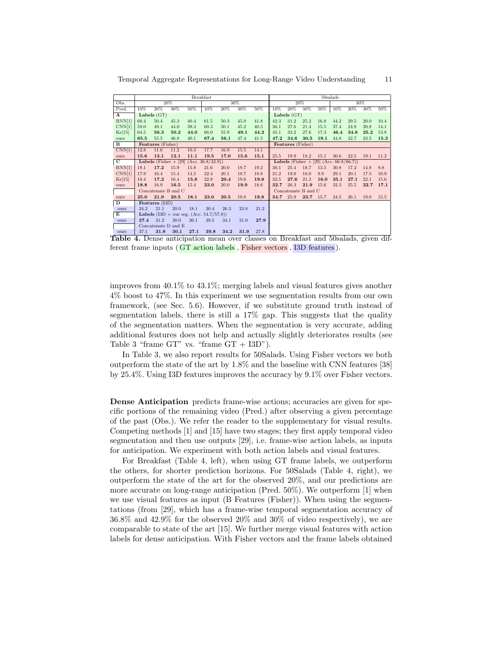|        |                                                | <b>Breakfast</b>                                  |      |      |      |      |      |      |                                                |      | $50$ salads |      |      |      |      |      |
|--------|------------------------------------------------|---------------------------------------------------|------|------|------|------|------|------|------------------------------------------------|------|-------------|------|------|------|------|------|
| Obs.   |                                                |                                                   | 20%  |      |      |      | 30%  |      |                                                |      | 20%         |      |      |      | 30%  |      |
| Pred.  | 10%                                            | 20%                                               | 30%  | 50%  | 10%  | 20%  | 30%  | 50%  | 10%                                            | 20%  | 30%         | 50%  | 10%  | 20%  | 30%  | 50%  |
| A      |                                                | Labels $(GT)$                                     |      |      |      |      |      |      | Labels $(GT)$                                  |      |             |      |      |      |      |      |
| RNN[1] | 60.4                                           | 50.4                                              | 45.3 | 40.4 | 61.5 | 50.3 | 45.0 | 41.8 | 42.3                                           | 31.2 | 25.2        | 16.8 | 44.2 | 29.5 | 20.0 | 10.4 |
| CNN[1] | 58.0                                           | 49.1                                              | 44.0 | 39.3 | 60.3 | 50.1 | 45.2 | 40.5 | 36.1                                           | 27.6 | 21.4        | 15.5 | 37.4 | 24.8 | 20.8 | 14.1 |
| Ke[15] | 64.5                                           | 56.3                                              | 50.2 | 44.0 | 66.0 | 55.9 | 49.1 | 44.2 | 45.1                                           | 33.2 | 27.6        | 17.3 | 46.4 | 34.8 | 25.2 | 13.8 |
| ours   | 65.5                                           | 55.5                                              | 46.8 | 40.1 | 67.4 | 56.1 | 47.4 | 41.5 | 47.2                                           | 34.6 | 30.5        | 19.1 | 44.8 | 32.7 | 23.5 | 15.3 |
| в      | Features (Fisher)                              |                                                   |      |      |      |      |      |      | Features (Fisher)                              |      |             |      |      |      |      |      |
| CNN[1] | 12.8                                           | 11.6                                              | 11.2 | 10.3 | 17.7 | 16.9 | 15.5 | 14.1 |                                                |      |             |      |      |      |      |      |
| ours   | 15.6                                           | 13.1                                              | 12.1 | 11.1 | 19.5 | 17.0 | 15.6 | 15.1 | 25.5                                           | 19.9 | 18.2        | 15.1 | 30.6 | 22.5 | 19.1 | 11.2 |
| C      | <b>Labels</b> (Fisher + [29] (Acc. 36.8/42.9)) |                                                   |      |      |      |      |      |      | <b>Labels</b> (Fisher + [29] (Acc. 66.8/66.7)) |      |             |      |      |      |      |      |
| RNN[1] | 18.1                                           | 17.2                                              | 15.9 | 15.8 | 21.6 | 20.0 | 19.7 | 19.2 | 30.1                                           | 25.4 | 18.7        | 13.5 | 30.8 | 17.2 | 14.8 | 9.8  |
| CNN[1] | 17.9                                           | 16.4                                              | 15.4 | 14.5 | 22.4 | 20.1 | 19.7 | 18.8 | 21.2                                           | 19.0 | 16.0        | 9.9  | 29.1 | 20.1 | 17.5 | 10.9 |
| Ke[15] | 18.4                                           | 17.2                                              | 16.4 | 15.8 | 22.8 | 20.4 | 19.6 | 19.8 | 32.5                                           | 27.6 | 21.3        | 16.0 | 35.1 | 27.1 | 22.1 | 15.6 |
| ours   | 18.8                                           | 16.9                                              | 16.5 | 15.4 | 23.0 | 20.0 | 19.9 | 18.6 | 32.7                                           | 26.3 | 21.9        | 15.6 | 32.3 | 25.5 | 22.7 | 17.1 |
|        |                                                | Concatenate B and C                               |      |      |      |      |      |      | Concatenate B and C                            |      |             |      |      |      |      |      |
| ours   | 25.0                                           | 21.9                                              | 20.5 | 18.1 | 23.0 | 20.5 | 19.8 | 19.8 | 34.7                                           | 25.9 | 23.7        | 15.7 | 34.5 | 26.1 | 19.0 | 15.5 |
| D      |                                                | Features (I3D)                                    |      |      |      |      |      |      |                                                |      |             |      |      |      |      |      |
| ours   | 24.2                                           | 21.1                                              | 20.0 | 18.1 | 30.4 | 26.3 | 23.8 | 21.2 |                                                |      |             |      |      |      |      |      |
| E      |                                                | <b>Labels</b> $(I3D + our seg. (Acc. 54.7/57.8))$ |      |      |      |      |      |      |                                                |      |             |      |      |      |      |      |
| ours   | 37.4                                           | 31.2                                              | 30.0 | 26.1 | 39.5 | 34.1 | 31.0 | 27.9 |                                                |      |             |      |      |      |      |      |
|        |                                                | Concatenate D and E                               |      |      |      |      |      |      |                                                |      |             |      |      |      |      |      |
| ours   | 37.1                                           | 31.8                                              | 30.1 | 27.1 | 39.8 | 34.2 | 31.9 | 27.8 |                                                |      |             |      |      |      |      |      |

Temporal Aggregate Representations for Long-Range Video Understanding 11

Table 4. Dense anticipation mean over classes on Breakfast and 50salads, given different frame inputs ( GT action labels , Fisher vectors , I3D features ).

improves from 40.1% to 43.1%; merging labels and visual features gives another 4% boost to 47%. In this experiment we use segmentation results from our own framework, (see Sec. 5.6). However, if we substitute ground truth instead of segmentation labels, there is still a 17% gap. This suggests that the quality of the segmentation matters. When the segmentation is very accurate, adding additional features does not help and actually slightly deteriorates results (see Table 3 "frame  $GT"$  vs. "frame  $GT + I3D"$ ).

In Table 3, we also report results for 50Salads. Using Fisher vectors we both outperform the state of the art by 1.8% and the baseline with CNN features [38] by 25.4%. Using I3D features improves the accuracy by 9.1% over Fisher vectors.

Dense Anticipation predicts frame-wise actions; accuracies are given for specific portions of the remaining video (Pred.) after observing a given percentage of the past (Obs.). We refer the reader to the supplementary for visual results. Competing methods [1] and [15] have two stages; they first apply temporal video segmentation and then use outputs [29], i.e. frame-wise action labels, as inputs for anticipation. We experiment with both action labels and visual features.

For Breakfast (Table 4, left), when using GT frame labels, we outperform the others, for shorter prediction horizons. For 50Salads (Table 4, right), we outperform the state of the art for the observed 20%, and our predictions are more accurate on long-range anticipation (Pred. 50%). We outperform [1] when we use visual features as input (B Features (Fisher)). When using the segmentations (from [29], which has a frame-wise temporal segmentation accuracy of 36.8% and 42.9% for the observed 20% and 30% of video respectively), we are comparable to state of the art [15]. We further merge visual features with action labels for dense anticipation. With Fisher vectors and the frame labels obtained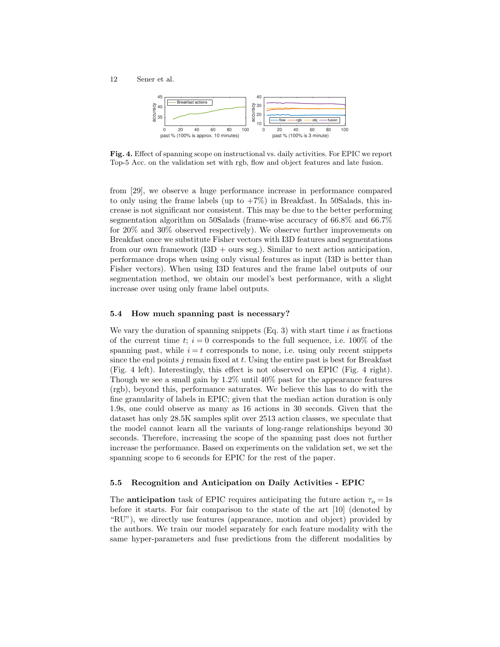12 Sener et al.



Fig. 4. Effect of spanning scope on instructional vs. daily activities. For EPIC we report Top-5 Acc. on the validation set with rgb, flow and object features and late fusion.

from [29], we observe a huge performance increase in performance compared to only using the frame labels (up to  $+7\%$ ) in Breakfast. In 50Salads, this increase is not significant nor consistent. This may be due to the better performing segmentation algorithm on 50Salads (frame-wise accuracy of 66.8% and 66.7% for 20% and 30% observed respectively). We observe further improvements on Breakfast once we substitute Fisher vectors with I3D features and segmentations from our own framework  $(13D + \text{ours seg.})$ . Similar to next action anticipation, performance drops when using only visual features as input (I3D is better than Fisher vectors). When using I3D features and the frame label outputs of our segmentation method, we obtain our model's best performance, with a slight increase over using only frame label outputs.

### 5.4 How much spanning past is necessary?

We vary the duration of spanning snippets  $(Eq. 3)$  with start time i as fractions of the current time t;  $i = 0$  corresponds to the full sequence, i.e. 100% of the spanning past, while  $i = t$  corresponds to none, i.e. using only recent snippets since the end points  $j$  remain fixed at  $t$ . Using the entire past is best for Breakfast (Fig. 4 left). Interestingly, this effect is not observed on EPIC (Fig. 4 right). Though we see a small gain by 1.2% until 40% past for the appearance features (rgb), beyond this, performance saturates. We believe this has to do with the fine granularity of labels in EPIC; given that the median action duration is only 1.9s, one could observe as many as 16 actions in 30 seconds. Given that the dataset has only 28.5K samples split over 2513 action classes, we speculate that the model cannot learn all the variants of long-range relationships beyond 30 seconds. Therefore, increasing the scope of the spanning past does not further increase the performance. Based on experiments on the validation set, we set the spanning scope to 6 seconds for EPIC for the rest of the paper.

#### 5.5 Recognition and Anticipation on Daily Activities - EPIC

The **anticipation** task of EPIC requires anticipating the future action  $\tau_{\alpha} = 1$ s before it starts. For fair comparison to the state of the art [10] (denoted by "RU"), we directly use features (appearance, motion and object) provided by the authors. We train our model separately for each feature modality with the same hyper-parameters and fuse predictions from the different modalities by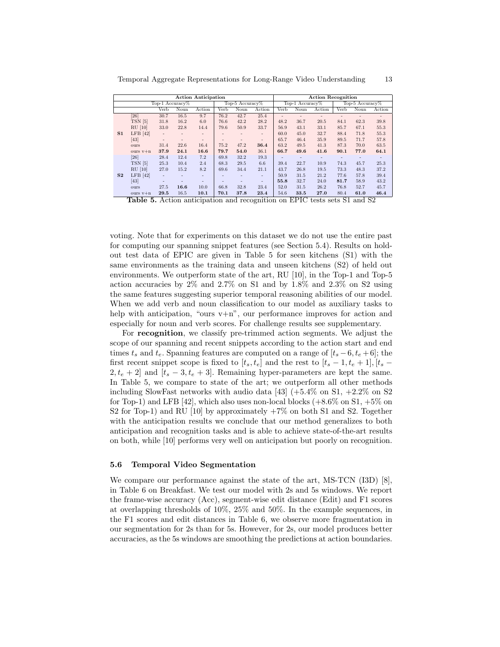| Action Anticipation         |                 | <b>Action Recognition</b>   |                 |
|-----------------------------|-----------------|-----------------------------|-----------------|
| l'on-l<br>$\Delta$ ceursev% | Top 5 Accuracy% | Ton-1<br>$\Delta$ ceursey % | Top-5 Accuracy% |

Temporal Aggregate Representations for Long-Range Video Understanding 13

|                |            |                          | Top-1 Accuracy% |        |      | Top-5 Accuracy $%$ |                         |                          | Top-1 $Accuracy\%$ |        |      | Top-5 Accuracy% |                          |
|----------------|------------|--------------------------|-----------------|--------|------|--------------------|-------------------------|--------------------------|--------------------|--------|------|-----------------|--------------------------|
|                |            | Verb                     | Noun            | Action | Verb | Noun               | Action                  | Verb                     | Noun               | Action | Verb | Noun            | Action                   |
|                | [26]       | 30.7                     | 16.5            | 9.7    | 76.2 | 42.7               | 25.4                    | $\overline{\phantom{a}}$ | ۰                  |        | ۰    | -               | $\overline{\phantom{a}}$ |
|                | TSN [5]    | 31.8                     | 16.2            | 6.0    | 76.6 | 42.2               | 28.2                    | 48.2                     | 36.7               | 20.5   | 84.1 | 62.3            | 39.8                     |
|                | $RU$ [10]  | 33.0                     | 22.8            | 14.4   | 79.6 | 50.9               | 33.7                    | 56.9                     | 43.1               | 33.1   | 85.7 | 67.1            | 55.3                     |
| S <sub>1</sub> | $LFB$ [42] | $\overline{\phantom{a}}$ | ٠               |        |      |                    | $\qquad \qquad =\qquad$ | 60.0                     | 45.0               | 32.7   | 88.4 | 71.8            | 55.3                     |
|                | [43]       | $\overline{\phantom{m}}$ | ۰               | ٠      | ۰    | ٠                  | $\qquad \qquad =$       | 65.7                     | 46.4               | 35.9   | 89.5 | 71.7            | 57.8                     |
|                | ours       | 31.4                     | 22.6            | 16.4   | 75.2 | 47.2               | 36.4                    | 63.2                     | 49.5               | 41.3   | 87.3 | 70.0            | 63.5                     |
|                | ours $v+n$ | 37.9                     | 24.1            | 16.6   | 79.7 | 54.0               | 36.1                    | 66.7                     | 49.6               | 41.6   | 90.1 | 77.0            | 64.1                     |
|                | [26]       | 28.4                     | 12.4            | 7.2    | 69.8 | 32.2               | 19.3                    | ٠                        | ۰                  | ۰      | ۰    |                 | $\overline{\phantom{a}}$ |
|                | TSN [5]    | 25.3                     | 10.4            | 2.4    | 68.3 | 29.5               | 6.6                     | 39.4                     | 22.7               | 10.9   | 74.3 | 45.7            | 25.3                     |
|                | $RU$ [10]  | 27.0                     | 15.2            | 8.2    | 69.6 | 34.4               | 21.1                    | 43.7                     | 26.8               | 19.5   | 73.3 | 48.3            | 37.2                     |
| S <sub>2</sub> | $LFB$ [42] | $\equiv$                 | ۰               |        |      |                    | ۰                       | 50.9                     | 31.5               | 21.2   | 77.6 | 57.8            | 39.4                     |
|                | [43]       | ٠                        |                 |        |      | ۰                  | ٠                       | 55.8                     | 32.7               | 24.0   | 81.7 | 58.9            | 43.2                     |
|                | ours       | 27.5                     | 16.6            | 10.0   | 66.8 | 32.8               | 23.4                    | 52.0                     | 31.5               | 26.2   | 76.8 | 52.7            | 45.7                     |
|                | ours $v+n$ | 29.5                     | 16.5            | 10.1   | 70.1 | 37.8               | 23.4                    | 54.6                     | 33.5               | 27.0   | 80.4 | 61.0            | 46.4                     |

Table 5. Action anticipation and recognition on EPIC tests sets S1 and S2

voting. Note that for experiments on this dataset we do not use the entire past for computing our spanning snippet features (see Section 5.4). Results on holdout test data of EPIC are given in Table 5 for seen kitchens (S1) with the same environments as the training data and unseen kitchens (S2) of held out environments. We outperform state of the art, RU [10], in the Top-1 and Top-5 action accuracies by 2% and 2.7% on S1 and by 1.8% and 2.3% on S2 using the same features suggesting superior temporal reasoning abilities of our model. When we add verb and noun classification to our model as auxiliary tasks to help with anticipation, "ours  $v+n$ ", our performance improves for action and especially for noun and verb scores. For challenge results see supplementary.

For recognition, we classify pre-trimmed action segments. We adjust the scope of our spanning and recent snippets according to the action start and end times  $t_s$  and  $t_e$ . Spanning features are computed on a range of  $[t_s - 6, t_e + 6]$ ; the first recent snippet scope is fixed to  $[t_s, t_e]$  and the rest to  $[t_s - 1, t_e + 1], [t_s 2, t_e + 2$  and  $[t_s - 3, t_e + 3]$ . Remaining hyper-parameters are kept the same. In Table 5, we compare to state of the art; we outperform all other methods including SlowFast networks with audio data [43]  $(+5.4\% \text{ on } S1, +2.2\% \text{ on } S2)$ for Top-1) and LFB [42], which also uses non-local blocks  $(+8.6\% \text{ on } S1, +5\% \text{ on } S2)$ S2 for Top-1) and RU  $[10]$  by approximately  $+7\%$  on both S1 and S2. Together with the anticipation results we conclude that our method generalizes to both anticipation and recognition tasks and is able to achieve state-of-the-art results on both, while [10] performs very well on anticipation but poorly on recognition.

#### 5.6 Temporal Video Segmentation

We compare our performance against the state of the art, MS-TCN (I3D) [8], in Table 6 on Breakfast. We test our model with 2s and 5s windows. We report the frame-wise accuracy (Acc), segment-wise edit distance (Edit) and F1 scores at overlapping thresholds of 10%, 25% and 50%. In the example sequences, in the F1 scores and edit distances in Table 6, we observe more fragmentation in our segmentation for 2s than for 5s. However, for 2s, our model produces better accuracies, as the 5s windows are smoothing the predictions at action boundaries.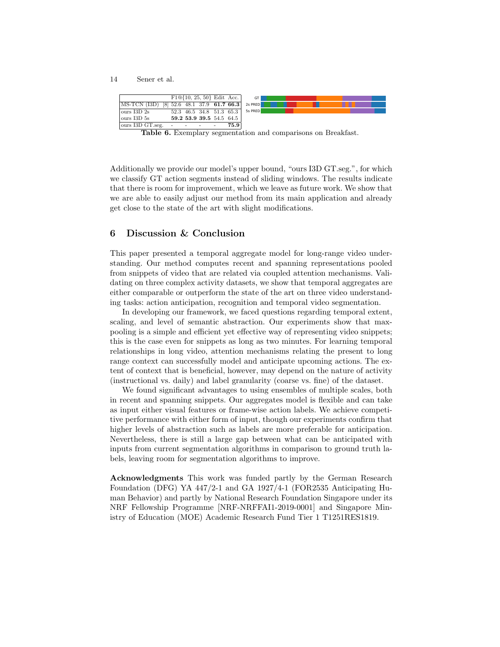|                           |                                    |            |                          | $F1@{10, 25, 50}$ Edit Acc. | GT      |
|---------------------------|------------------------------------|------------|--------------------------|-----------------------------|---------|
| MS-TCN (I3D)              | $[8]$ 52.6 48.1 37.9 61.7 66.3     |            |                          |                             | 2s PRED |
| $\frac{1}{3D}$ 2s         |                                    |            |                          | 52.3 46.5 34.8 51.3 65.3    | 5s PRED |
| $\frac{1}{3}$ ours I3D 5s |                                    |            | 59.2 53.9 39.5 54.5 64.5 |                             |         |
| ours I3D GT.seg.          | $\sim$ 10 $\pm$<br><b>Contract</b> | $\sim$ $-$ | $\sim$ $\sim$            | 75.9                        |         |

Table 6. Exemplary segmentation and comparisons on Breakfast.

Additionally we provide our model's upper bound, "ours I3D GT.seg.", for which we classify GT action segments instead of sliding windows. The results indicate that there is room for improvement, which we leave as future work. We show that we are able to easily adjust our method from its main application and already get close to the state of the art with slight modifications.

# 6 Discussion & Conclusion

This paper presented a temporal aggregate model for long-range video understanding. Our method computes recent and spanning representations pooled from snippets of video that are related via coupled attention mechanisms. Validating on three complex activity datasets, we show that temporal aggregates are either comparable or outperform the state of the art on three video understanding tasks: action anticipation, recognition and temporal video segmentation.

In developing our framework, we faced questions regarding temporal extent, scaling, and level of semantic abstraction. Our experiments show that maxpooling is a simple and efficient yet effective way of representing video snippets; this is the case even for snippets as long as two minutes. For learning temporal relationships in long video, attention mechanisms relating the present to long range context can successfully model and anticipate upcoming actions. The extent of context that is beneficial, however, may depend on the nature of activity (instructional vs. daily) and label granularity (coarse vs. fine) of the dataset.

We found significant advantages to using ensembles of multiple scales, both in recent and spanning snippets. Our aggregates model is flexible and can take as input either visual features or frame-wise action labels. We achieve competitive performance with either form of input, though our experiments confirm that higher levels of abstraction such as labels are more preferable for anticipation. Nevertheless, there is still a large gap between what can be anticipated with inputs from current segmentation algorithms in comparison to ground truth labels, leaving room for segmentation algorithms to improve.

Acknowledgments This work was funded partly by the German Research Foundation (DFG) YA 447/2-1 and GA 1927/4-1 (FOR2535 Anticipating Human Behavior) and partly by National Research Foundation Singapore under its NRF Fellowship Programme [NRF-NRFFAI1-2019-0001] and Singapore Ministry of Education (MOE) Academic Research Fund Tier 1 T1251RES1819.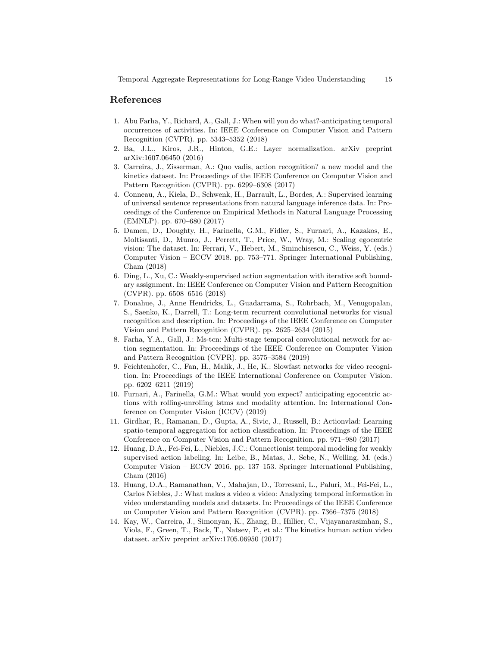# References

- 1. Abu Farha, Y., Richard, A., Gall, J.: When will you do what?-anticipating temporal occurrences of activities. In: IEEE Conference on Computer Vision and Pattern Recognition (CVPR). pp. 5343–5352 (2018)
- 2. Ba, J.L., Kiros, J.R., Hinton, G.E.: Layer normalization. arXiv preprint arXiv:1607.06450 (2016)
- 3. Carreira, J., Zisserman, A.: Quo vadis, action recognition? a new model and the kinetics dataset. In: Proceedings of the IEEE Conference on Computer Vision and Pattern Recognition (CVPR). pp. 6299–6308 (2017)
- 4. Conneau, A., Kiela, D., Schwenk, H., Barrault, L., Bordes, A.: Supervised learning of universal sentence representations from natural language inference data. In: Proceedings of the Conference on Empirical Methods in Natural Language Processing (EMNLP). pp. 670–680 (2017)
- 5. Damen, D., Doughty, H., Farinella, G.M., Fidler, S., Furnari, A., Kazakos, E., Moltisanti, D., Munro, J., Perrett, T., Price, W., Wray, M.: Scaling egocentric vision: The dataset. In: Ferrari, V., Hebert, M., Sminchisescu, C., Weiss, Y. (eds.) Computer Vision – ECCV 2018. pp. 753–771. Springer International Publishing, Cham (2018)
- 6. Ding, L., Xu, C.: Weakly-supervised action segmentation with iterative soft boundary assignment. In: IEEE Conference on Computer Vision and Pattern Recognition (CVPR). pp. 6508–6516 (2018)
- 7. Donahue, J., Anne Hendricks, L., Guadarrama, S., Rohrbach, M., Venugopalan, S., Saenko, K., Darrell, T.: Long-term recurrent convolutional networks for visual recognition and description. In: Proceedings of the IEEE Conference on Computer Vision and Pattern Recognition (CVPR). pp. 2625–2634 (2015)
- 8. Farha, Y.A., Gall, J.: Ms-tcn: Multi-stage temporal convolutional network for action segmentation. In: Proceedings of the IEEE Conference on Computer Vision and Pattern Recognition (CVPR). pp. 3575–3584 (2019)
- 9. Feichtenhofer, C., Fan, H., Malik, J., He, K.: Slowfast networks for video recognition. In: Proceedings of the IEEE International Conference on Computer Vision. pp. 6202–6211 (2019)
- 10. Furnari, A., Farinella, G.M.: What would you expect? anticipating egocentric actions with rolling-unrolling lstms and modality attention. In: International Conference on Computer Vision (ICCV) (2019)
- 11. Girdhar, R., Ramanan, D., Gupta, A., Sivic, J., Russell, B.: Actionvlad: Learning spatio-temporal aggregation for action classification. In: Proceedings of the IEEE Conference on Computer Vision and Pattern Recognition. pp. 971–980 (2017)
- 12. Huang, D.A., Fei-Fei, L., Niebles, J.C.: Connectionist temporal modeling for weakly supervised action labeling. In: Leibe, B., Matas, J., Sebe, N., Welling, M. (eds.) Computer Vision – ECCV 2016. pp. 137–153. Springer International Publishing, Cham (2016)
- 13. Huang, D.A., Ramanathan, V., Mahajan, D., Torresani, L., Paluri, M., Fei-Fei, L., Carlos Niebles, J.: What makes a video a video: Analyzing temporal information in video understanding models and datasets. In: Proceedings of the IEEE Conference on Computer Vision and Pattern Recognition (CVPR). pp. 7366–7375 (2018)
- 14. Kay, W., Carreira, J., Simonyan, K., Zhang, B., Hillier, C., Vijayanarasimhan, S., Viola, F., Green, T., Back, T., Natsev, P., et al.: The kinetics human action video dataset. arXiv preprint arXiv:1705.06950 (2017)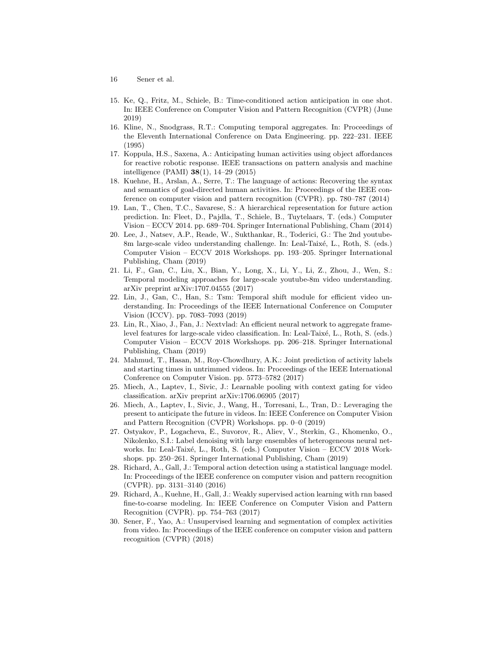- 16 Sener et al.
- 15. Ke, Q., Fritz, M., Schiele, B.: Time-conditioned action anticipation in one shot. In: IEEE Conference on Computer Vision and Pattern Recognition (CVPR) (June 2019)
- 16. Kline, N., Snodgrass, R.T.: Computing temporal aggregates. In: Proceedings of the Eleventh International Conference on Data Engineering. pp. 222–231. IEEE (1995)
- 17. Koppula, H.S., Saxena, A.: Anticipating human activities using object affordances for reactive robotic response. IEEE transactions on pattern analysis and machine intelligence (PAMI) 38(1), 14–29 (2015)
- 18. Kuehne, H., Arslan, A., Serre, T.: The language of actions: Recovering the syntax and semantics of goal-directed human activities. In: Proceedings of the IEEE conference on computer vision and pattern recognition (CVPR). pp. 780–787 (2014)
- 19. Lan, T., Chen, T.C., Savarese, S.: A hierarchical representation for future action prediction. In: Fleet, D., Pajdla, T., Schiele, B., Tuytelaars, T. (eds.) Computer Vision – ECCV 2014. pp. 689–704. Springer International Publishing, Cham (2014)
- 20. Lee, J., Natsev, A.P., Reade, W., Sukthankar, R., Toderici, G.: The 2nd youtube-8m large-scale video understanding challenge. In: Leal-Taixé, L., Roth, S. (eds.) Computer Vision – ECCV 2018 Workshops. pp. 193–205. Springer International Publishing, Cham (2019)
- 21. Li, F., Gan, C., Liu, X., Bian, Y., Long, X., Li, Y., Li, Z., Zhou, J., Wen, S.: Temporal modeling approaches for large-scale youtube-8m video understanding. arXiv preprint arXiv:1707.04555 (2017)
- 22. Lin, J., Gan, C., Han, S.: Tsm: Temporal shift module for efficient video understanding. In: Proceedings of the IEEE International Conference on Computer Vision (ICCV). pp. 7083–7093 (2019)
- 23. Lin, R., Xiao, J., Fan, J.: Nextvlad: An efficient neural network to aggregate framelevel features for large-scale video classification. In: Leal-Taixé, L., Roth, S. (eds.) Computer Vision – ECCV 2018 Workshops. pp. 206–218. Springer International Publishing, Cham (2019)
- 24. Mahmud, T., Hasan, M., Roy-Chowdhury, A.K.: Joint prediction of activity labels and starting times in untrimmed videos. In: Proceedings of the IEEE International Conference on Computer Vision. pp. 5773–5782 (2017)
- 25. Miech, A., Laptev, I., Sivic, J.: Learnable pooling with context gating for video classification. arXiv preprint arXiv:1706.06905 (2017)
- 26. Miech, A., Laptev, I., Sivic, J., Wang, H., Torresani, L., Tran, D.: Leveraging the present to anticipate the future in videos. In: IEEE Conference on Computer Vision and Pattern Recognition (CVPR) Workshops. pp. 0–0 (2019)
- 27. Ostyakov, P., Logacheva, E., Suvorov, R., Aliev, V., Sterkin, G., Khomenko, O., Nikolenko, S.I.: Label denoising with large ensembles of heterogeneous neural networks. In: Leal-Taixé, L., Roth, S. (eds.) Computer Vision – ECCV 2018 Workshops. pp. 250–261. Springer International Publishing, Cham (2019)
- 28. Richard, A., Gall, J.: Temporal action detection using a statistical language model. In: Proceedings of the IEEE conference on computer vision and pattern recognition (CVPR). pp. 3131–3140 (2016)
- 29. Richard, A., Kuehne, H., Gall, J.: Weakly supervised action learning with rnn based fine-to-coarse modeling. In: IEEE Conference on Computer Vision and Pattern Recognition (CVPR). pp. 754–763 (2017)
- 30. Sener, F., Yao, A.: Unsupervised learning and segmentation of complex activities from video. In: Proceedings of the IEEE conference on computer vision and pattern recognition (CVPR) (2018)